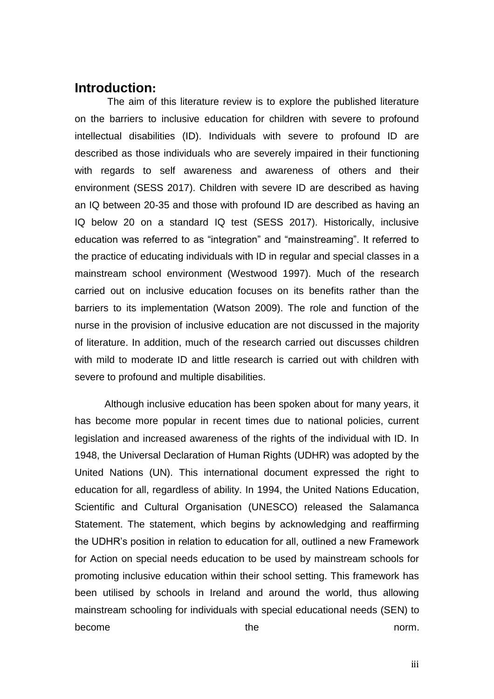## **Introduction:**

The aim of this literature review is to explore the published literature on the barriers to inclusive education for children with severe to profound intellectual disabilities (ID). Individuals with severe to profound ID are described as those individuals who are severely impaired in their functioning with regards to self awareness and awareness of others and their environment (SESS 2017). Children with severe ID are described as having an IQ between 20-35 and those with profound ID are described as having an IQ below 20 on a standard IQ test (SESS 2017). Historically, inclusive education was referred to as "integration" and "mainstreaming". It referred to the practice of educating individuals with ID in regular and special classes in a mainstream school environment (Westwood 1997). Much of the research carried out on inclusive education focuses on its benefits rather than the barriers to its implementation (Watson 2009). The role and function of the nurse in the provision of inclusive education are not discussed in the majority of literature. In addition, much of the research carried out discusses children with mild to moderate ID and little research is carried out with children with severe to profound and multiple disabilities.

Although inclusive education has been spoken about for many years, it has become more popular in recent times due to national policies, current legislation and increased awareness of the rights of the individual with ID. In 1948, the Universal Declaration of Human Rights (UDHR) was adopted by the United Nations (UN). This international document expressed the right to education for all, regardless of ability. In 1994, the United Nations Education, Scientific and Cultural Organisation (UNESCO) released the Salamanca Statement. The statement, which begins by acknowledging and reaffirming the UDHR's position in relation to education for all, outlined a new Framework for Action on special needs education to be used by mainstream schools for promoting inclusive education within their school setting. This framework has been utilised by schools in Ireland and around the world, thus allowing mainstream schooling for individuals with special educational needs (SEN) to become the the norm.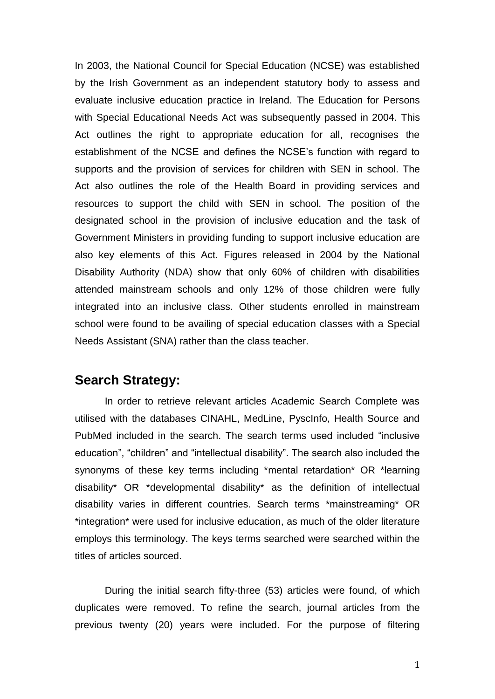In 2003, the National Council for Special Education (NCSE) was established by the Irish Government as an independent statutory body to assess and evaluate inclusive education practice in Ireland. The Education for Persons with Special Educational Needs Act was subsequently passed in 2004. This Act outlines the right to appropriate education for all, recognises the establishment of the NCSE and defines the NCSE's function with regard to supports and the provision of services for children with SEN in school. The Act also outlines the role of the Health Board in providing services and resources to support the child with SEN in school. The position of the designated school in the provision of inclusive education and the task of Government Ministers in providing funding to support inclusive education are also key elements of this Act. Figures released in 2004 by the National Disability Authority (NDA) show that only 60% of children with disabilities attended mainstream schools and only 12% of those children were fully integrated into an inclusive class. Other students enrolled in mainstream school were found to be availing of special education classes with a Special Needs Assistant (SNA) rather than the class teacher.

#### **Search Strategy:**

In order to retrieve relevant articles Academic Search Complete was utilised with the databases CINAHL, MedLine, PyscInfo, Health Source and PubMed included in the search. The search terms used included "inclusive education", "children" and "intellectual disability". The search also included the synonyms of these key terms including \*mental retardation\* OR \*learning disability\* OR \*developmental disability\* as the definition of intellectual disability varies in different countries. Search terms \*mainstreaming\* OR \*integration\* were used for inclusive education, as much of the older literature employs this terminology. The keys terms searched were searched within the titles of articles sourced.

During the initial search fifty-three (53) articles were found, of which duplicates were removed. To refine the search, journal articles from the previous twenty (20) years were included. For the purpose of filtering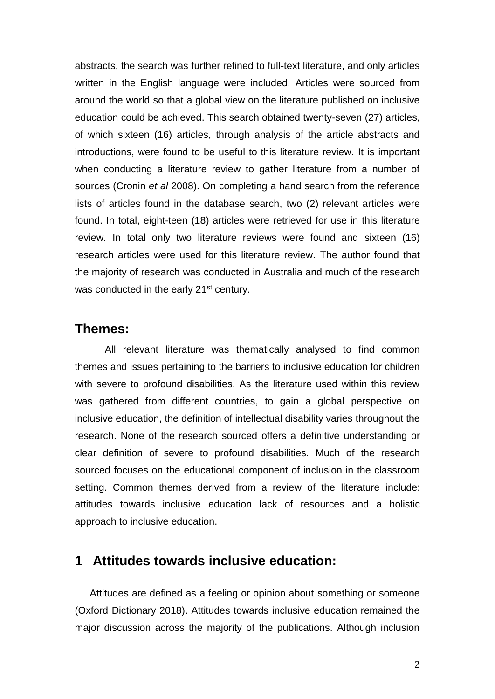abstracts, the search was further refined to full-text literature, and only articles written in the English language were included. Articles were sourced from around the world so that a global view on the literature published on inclusive education could be achieved. This search obtained twenty-seven (27) articles, of which sixteen (16) articles, through analysis of the article abstracts and introductions, were found to be useful to this literature review. It is important when conducting a literature review to gather literature from a number of sources (Cronin *et al* 2008). On completing a hand search from the reference lists of articles found in the database search, two (2) relevant articles were found. In total, eight-teen (18) articles were retrieved for use in this literature review. In total only two literature reviews were found and sixteen (16) research articles were used for this literature review. The author found that the majority of research was conducted in Australia and much of the research was conducted in the early 21<sup>st</sup> century.

#### **Themes:**

All relevant literature was thematically analysed to find common themes and issues pertaining to the barriers to inclusive education for children with severe to profound disabilities. As the literature used within this review was gathered from different countries, to gain a global perspective on inclusive education, the definition of intellectual disability varies throughout the research. None of the research sourced offers a definitive understanding or clear definition of severe to profound disabilities. Much of the research sourced focuses on the educational component of inclusion in the classroom setting. Common themes derived from a review of the literature include: attitudes towards inclusive education lack of resources and a holistic approach to inclusive education.

## **1 Attitudes towards inclusive education:**

Attitudes are defined as a feeling or opinion about something or someone (Oxford Dictionary 2018). Attitudes towards inclusive education remained the major discussion across the majority of the publications. Although inclusion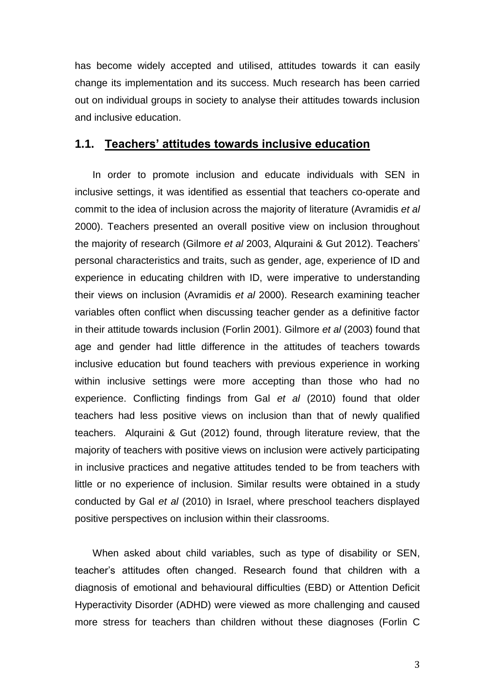has become widely accepted and utilised, attitudes towards it can easily change its implementation and its success. Much research has been carried out on individual groups in society to analyse their attitudes towards inclusion and inclusive education.

#### **1.1. Teachers' attitudes towards inclusive education**

In order to promote inclusion and educate individuals with SEN in inclusive settings, it was identified as essential that teachers co-operate and commit to the idea of inclusion across the majority of literature (Avramidis *et al*  2000). Teachers presented an overall positive view on inclusion throughout the majority of research (Gilmore *et al* 2003, Alquraini & Gut 2012). Teachers' personal characteristics and traits, such as gender, age, experience of ID and experience in educating children with ID, were imperative to understanding their views on inclusion (Avramidis *et al* 2000). Research examining teacher variables often conflict when discussing teacher gender as a definitive factor in their attitude towards inclusion (Forlin 2001). Gilmore *et al* (2003) found that age and gender had little difference in the attitudes of teachers towards inclusive education but found teachers with previous experience in working within inclusive settings were more accepting than those who had no experience. Conflicting findings from Gal *et al* (2010) found that older teachers had less positive views on inclusion than that of newly qualified teachers. Alquraini & Gut (2012) found, through literature review, that the majority of teachers with positive views on inclusion were actively participating in inclusive practices and negative attitudes tended to be from teachers with little or no experience of inclusion. Similar results were obtained in a study conducted by Gal *et al* (2010) in Israel, where preschool teachers displayed positive perspectives on inclusion within their classrooms.

When asked about child variables, such as type of disability or SEN, teacher's attitudes often changed. Research found that children with a diagnosis of emotional and behavioural difficulties (EBD) or Attention Deficit Hyperactivity Disorder (ADHD) were viewed as more challenging and caused more stress for teachers than children without these diagnoses (Forlin C

3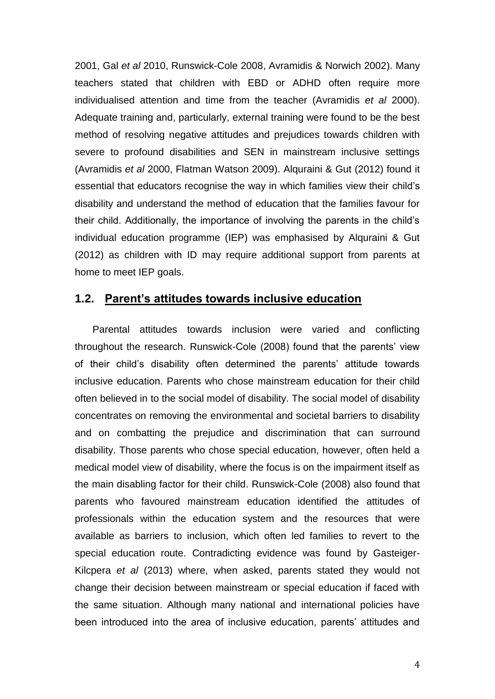2001, Gal *et al* 2010, Runswick-Cole 2008, Avramidis & Norwich 2002). Many teachers stated that children with EBD or ADHD often require more individualised attention and time from the teacher (Avramidis *et al* 2000). Adequate training and, particularly, external training were found to be the best method of resolving negative attitudes and prejudices towards children with severe to profound disabilities and SEN in mainstream inclusive settings (Avramidis *et al* 2000, Flatman Watson 2009). Alquraini & Gut (2012) found it essential that educators recognise the way in which families view their child's disability and understand the method of education that the families favour for their child. Additionally, the importance of involving the parents in the child's individual education programme (IEP) was emphasised by Alquraini & Gut (2012) as children with ID may require additional support from parents at home to meet IEP goals.

#### **1.2. Parent's attitudes towards inclusive education**

Parental attitudes towards inclusion were varied and conflicting throughout the research. Runswick-Cole (2008) found that the parents' view of their child's disability often determined the parents' attitude towards inclusive education. Parents who chose mainstream education for their child often believed in to the social model of disability. The social model of disability concentrates on removing the environmental and societal barriers to disability and on combatting the prejudice and discrimination that can surround disability. Those parents who chose special education, however, often held a medical model view of disability, where the focus is on the impairment itself as the main disabling factor for their child. Runswick-Cole (2008) also found that parents who favoured mainstream education identified the attitudes of professionals within the education system and the resources that were available as barriers to inclusion, which often led families to revert to the special education route. Contradicting evidence was found by Gasteiger-Kilcpera *et al* (2013) where, when asked, parents stated they would not change their decision between mainstream or special education if faced with the same situation. Although many national and international policies have been introduced into the area of inclusive education, parents' attitudes and

4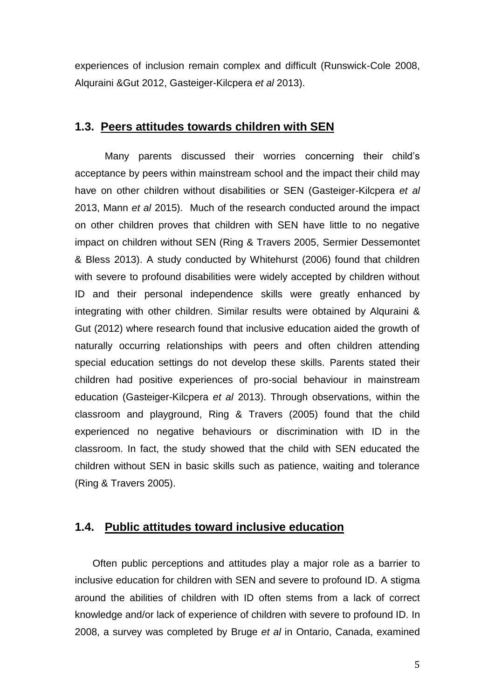experiences of inclusion remain complex and difficult (Runswick-Cole 2008, Alquraini &Gut 2012, Gasteiger-Kilcpera *et al* 2013).

#### **1.3. Peers attitudes towards children with SEN**

Many parents discussed their worries concerning their child's acceptance by peers within mainstream school and the impact their child may have on other children without disabilities or SEN (Gasteiger-Kilcpera *et al* 2013, Mann *et al* 2015). Much of the research conducted around the impact on other children proves that children with SEN have little to no negative impact on children without SEN (Ring & Travers 2005, Sermier Dessemontet & Bless 2013). A study conducted by Whitehurst (2006) found that children with severe to profound disabilities were widely accepted by children without ID and their personal independence skills were greatly enhanced by integrating with other children. Similar results were obtained by Alquraini & Gut (2012) where research found that inclusive education aided the growth of naturally occurring relationships with peers and often children attending special education settings do not develop these skills. Parents stated their children had positive experiences of pro-social behaviour in mainstream education (Gasteiger-Kilcpera *et al* 2013). Through observations, within the classroom and playground, Ring & Travers (2005) found that the child experienced no negative behaviours or discrimination with ID in the classroom. In fact, the study showed that the child with SEN educated the children without SEN in basic skills such as patience, waiting and tolerance (Ring & Travers 2005).

## **1.4. Public attitudes toward inclusive education**

Often public perceptions and attitudes play a major role as a barrier to inclusive education for children with SEN and severe to profound ID. A stigma around the abilities of children with ID often stems from a lack of correct knowledge and/or lack of experience of children with severe to profound ID. In 2008, a survey was completed by Bruge *et al* in Ontario, Canada, examined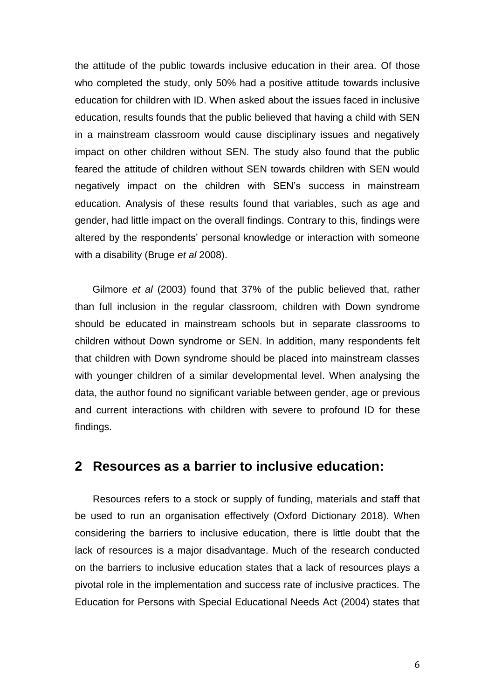the attitude of the public towards inclusive education in their area. Of those who completed the study, only 50% had a positive attitude towards inclusive education for children with ID. When asked about the issues faced in inclusive education, results founds that the public believed that having a child with SEN in a mainstream classroom would cause disciplinary issues and negatively impact on other children without SEN. The study also found that the public feared the attitude of children without SEN towards children with SEN would negatively impact on the children with SEN's success in mainstream education. Analysis of these results found that variables, such as age and gender, had little impact on the overall findings. Contrary to this, findings were altered by the respondents' personal knowledge or interaction with someone with a disability (Bruge *et al* 2008).

Gilmore *et al* (2003) found that 37% of the public believed that, rather than full inclusion in the regular classroom, children with Down syndrome should be educated in mainstream schools but in separate classrooms to children without Down syndrome or SEN. In addition, many respondents felt that children with Down syndrome should be placed into mainstream classes with younger children of a similar developmental level. When analysing the data, the author found no significant variable between gender, age or previous and current interactions with children with severe to profound ID for these findings.

## **2 Resources as a barrier to inclusive education:**

Resources refers to a stock or supply of funding, materials and staff that be used to run an organisation effectively (Oxford Dictionary 2018). When considering the barriers to inclusive education, there is little doubt that the lack of resources is a major disadvantage. Much of the research conducted on the barriers to inclusive education states that a lack of resources plays a pivotal role in the implementation and success rate of inclusive practices. The Education for Persons with Special Educational Needs Act (2004) states that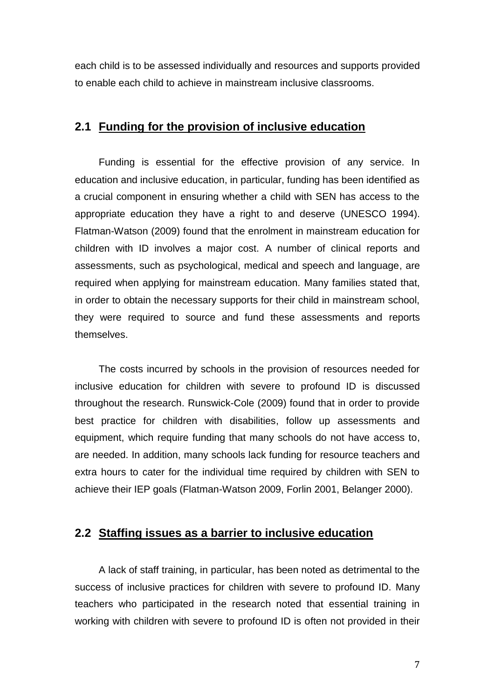each child is to be assessed individually and resources and supports provided to enable each child to achieve in mainstream inclusive classrooms.

## **2.1 Funding for the provision of inclusive education**

Funding is essential for the effective provision of any service. In education and inclusive education, in particular, funding has been identified as a crucial component in ensuring whether a child with SEN has access to the appropriate education they have a right to and deserve (UNESCO 1994). Flatman-Watson (2009) found that the enrolment in mainstream education for children with ID involves a major cost. A number of clinical reports and assessments, such as psychological, medical and speech and language, are required when applying for mainstream education. Many families stated that, in order to obtain the necessary supports for their child in mainstream school, they were required to source and fund these assessments and reports themselves.

The costs incurred by schools in the provision of resources needed for inclusive education for children with severe to profound ID is discussed throughout the research. Runswick-Cole (2009) found that in order to provide best practice for children with disabilities, follow up assessments and equipment, which require funding that many schools do not have access to, are needed. In addition, many schools lack funding for resource teachers and extra hours to cater for the individual time required by children with SEN to achieve their IEP goals (Flatman-Watson 2009, Forlin 2001, Belanger 2000).

#### **2.2 Staffing issues as a barrier to inclusive education**

A lack of staff training, in particular, has been noted as detrimental to the success of inclusive practices for children with severe to profound ID. Many teachers who participated in the research noted that essential training in working with children with severe to profound ID is often not provided in their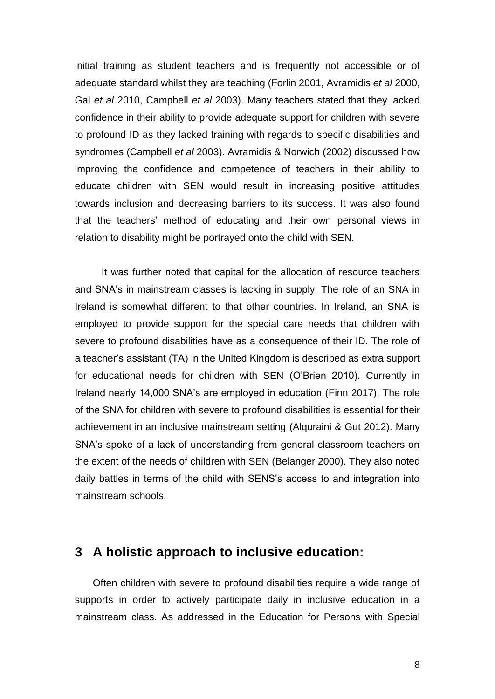initial training as student teachers and is frequently not accessible or of adequate standard whilst they are teaching (Forlin 2001, Avramidis *et al* 2000, Gal *et al* 2010, Campbell *et al* 2003). Many teachers stated that they lacked confidence in their ability to provide adequate support for children with severe to profound ID as they lacked training with regards to specific disabilities and syndromes (Campbell *et al* 2003). Avramidis & Norwich (2002) discussed how improving the confidence and competence of teachers in their ability to educate children with SEN would result in increasing positive attitudes towards inclusion and decreasing barriers to its success. It was also found that the teachers' method of educating and their own personal views in relation to disability might be portrayed onto the child with SEN.

It was further noted that capital for the allocation of resource teachers and SNA's in mainstream classes is lacking in supply. The role of an SNA in Ireland is somewhat different to that other countries. In Ireland, an SNA is employed to provide support for the special care needs that children with severe to profound disabilities have as a consequence of their ID. The role of a teacher's assistant (TA) in the United Kingdom is described as extra support for educational needs for children with SEN (O'Brien 2010). Currently in Ireland nearly 14,000 SNA's are employed in education (Finn 2017). The role of the SNA for children with severe to profound disabilities is essential for their achievement in an inclusive mainstream setting (Alquraini & Gut 2012). Many SNA's spoke of a lack of understanding from general classroom teachers on the extent of the needs of children with SEN (Belanger 2000). They also noted daily battles in terms of the child with SENS's access to and integration into mainstream schools.

## **3 A holistic approach to inclusive education:**

Often children with severe to profound disabilities require a wide range of supports in order to actively participate daily in inclusive education in a mainstream class. As addressed in the Education for Persons with Special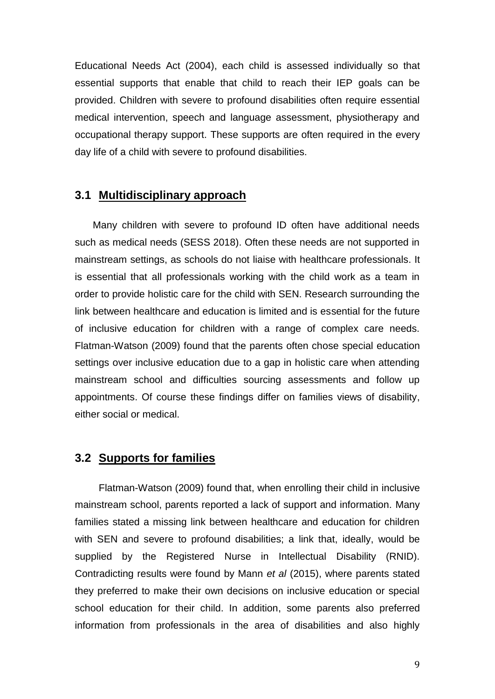Educational Needs Act (2004), each child is assessed individually so that essential supports that enable that child to reach their IEP goals can be provided. Children with severe to profound disabilities often require essential medical intervention, speech and language assessment, physiotherapy and occupational therapy support. These supports are often required in the every day life of a child with severe to profound disabilities.

#### **3.1 Multidisciplinary approach**

Many children with severe to profound ID often have additional needs such as medical needs (SESS 2018). Often these needs are not supported in mainstream settings, as schools do not liaise with healthcare professionals. It is essential that all professionals working with the child work as a team in order to provide holistic care for the child with SEN. Research surrounding the link between healthcare and education is limited and is essential for the future of inclusive education for children with a range of complex care needs. Flatman-Watson (2009) found that the parents often chose special education settings over inclusive education due to a gap in holistic care when attending mainstream school and difficulties sourcing assessments and follow up appointments. Of course these findings differ on families views of disability, either social or medical.

#### **3.2 Supports for families**

Flatman-Watson (2009) found that, when enrolling their child in inclusive mainstream school, parents reported a lack of support and information. Many families stated a missing link between healthcare and education for children with SEN and severe to profound disabilities; a link that, ideally, would be supplied by the Registered Nurse in Intellectual Disability (RNID). Contradicting results were found by Mann *et al* (2015), where parents stated they preferred to make their own decisions on inclusive education or special school education for their child. In addition, some parents also preferred information from professionals in the area of disabilities and also highly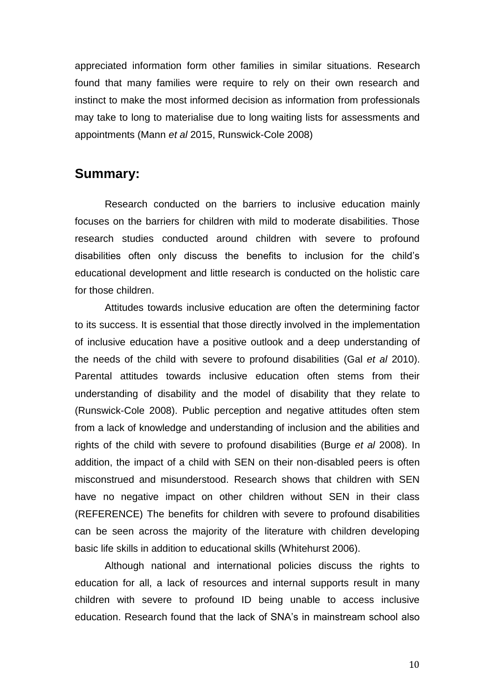appreciated information form other families in similar situations. Research found that many families were require to rely on their own research and instinct to make the most informed decision as information from professionals may take to long to materialise due to long waiting lists for assessments and appointments (Mann *et al* 2015, Runswick-Cole 2008)

## **Summary:**

Research conducted on the barriers to inclusive education mainly focuses on the barriers for children with mild to moderate disabilities. Those research studies conducted around children with severe to profound disabilities often only discuss the benefits to inclusion for the child's educational development and little research is conducted on the holistic care for those children.

Attitudes towards inclusive education are often the determining factor to its success. It is essential that those directly involved in the implementation of inclusive education have a positive outlook and a deep understanding of the needs of the child with severe to profound disabilities (Gal *et al* 2010). Parental attitudes towards inclusive education often stems from their understanding of disability and the model of disability that they relate to (Runswick-Cole 2008). Public perception and negative attitudes often stem from a lack of knowledge and understanding of inclusion and the abilities and rights of the child with severe to profound disabilities (Burge *et al* 2008). In addition, the impact of a child with SEN on their non-disabled peers is often misconstrued and misunderstood. Research shows that children with SEN have no negative impact on other children without SEN in their class (REFERENCE) The benefits for children with severe to profound disabilities can be seen across the majority of the literature with children developing basic life skills in addition to educational skills (Whitehurst 2006).

Although national and international policies discuss the rights to education for all, a lack of resources and internal supports result in many children with severe to profound ID being unable to access inclusive education. Research found that the lack of SNA's in mainstream school also

10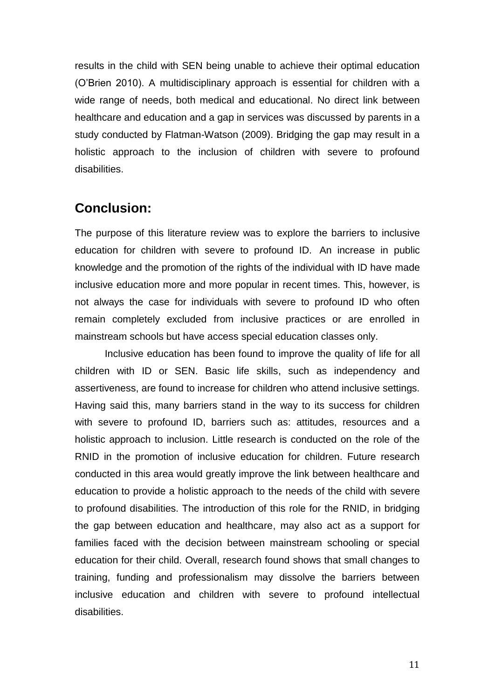results in the child with SEN being unable to achieve their optimal education (O'Brien 2010). A multidisciplinary approach is essential for children with a wide range of needs, both medical and educational. No direct link between healthcare and education and a gap in services was discussed by parents in a study conducted by Flatman-Watson (2009). Bridging the gap may result in a holistic approach to the inclusion of children with severe to profound disabilities.

## **Conclusion:**

The purpose of this literature review was to explore the barriers to inclusive education for children with severe to profound ID. An increase in public knowledge and the promotion of the rights of the individual with ID have made inclusive education more and more popular in recent times. This, however, is not always the case for individuals with severe to profound ID who often remain completely excluded from inclusive practices or are enrolled in mainstream schools but have access special education classes only.

Inclusive education has been found to improve the quality of life for all children with ID or SEN. Basic life skills, such as independency and assertiveness, are found to increase for children who attend inclusive settings. Having said this, many barriers stand in the way to its success for children with severe to profound ID, barriers such as: attitudes, resources and a holistic approach to inclusion. Little research is conducted on the role of the RNID in the promotion of inclusive education for children. Future research conducted in this area would greatly improve the link between healthcare and education to provide a holistic approach to the needs of the child with severe to profound disabilities. The introduction of this role for the RNID, in bridging the gap between education and healthcare, may also act as a support for families faced with the decision between mainstream schooling or special education for their child. Overall, research found shows that small changes to training, funding and professionalism may dissolve the barriers between inclusive education and children with severe to profound intellectual disabilities.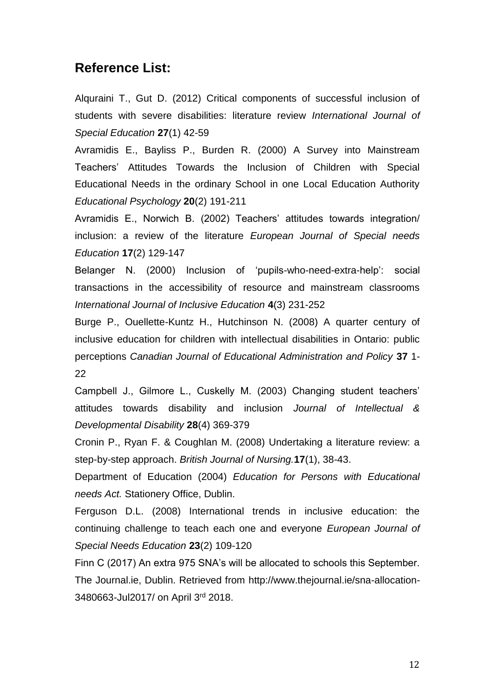## **Reference List:**

Alquraini T., Gut D. (2012) Critical components of successful inclusion of students with severe disabilities: literature review *International Journal of Special Education* **27**(1) 42-59

Avramidis E., Bayliss P., Burden R. (2000) A Survey into Mainstream Teachers' Attitudes Towards the Inclusion of Children with Special Educational Needs in the ordinary School in one Local Education Authority *Educational Psychology* **20**(2) 191-211

Avramidis E., Norwich B. (2002) Teachers' attitudes towards integration/ inclusion: a review of the literature *European Journal of Special needs Education* **17**(2) 129-147

Belanger N. (2000) Inclusion of 'pupils-who-need-extra-help': social transactions in the accessibility of resource and mainstream classrooms *International Journal of Inclusive Education* **4**(3) 231-252

Burge P., Ouellette-Kuntz H., Hutchinson N. (2008) A quarter century of inclusive education for children with intellectual disabilities in Ontario: public perceptions *Canadian Journal of Educational Administration and Policy* **37** 1- 22

Campbell J., Gilmore L., Cuskelly M. (2003) Changing student teachers' attitudes towards disability and inclusion *Journal of Intellectual & Developmental Disability* **28**(4) 369-379

Cronin P., Ryan F. & Coughlan M. (2008) Undertaking a literature review: a step-by-step approach. *British Journal of Nursing.***17**(1), 38-43.

Department of Education (2004) *Education for Persons with Educational needs Act.* Stationery Office, Dublin.

Ferguson D.L. (2008) International trends in inclusive education: the continuing challenge to teach each one and everyone *European Journal of Special Needs Education* **23**(2) 109-120

Finn C (2017) An extra 975 SNA's will be allocated to schools this September. The Journal.ie, Dublin. Retrieved from http://www.thejournal.ie/sna-allocation-3480663-Jul2017/ on April 3rd 2018.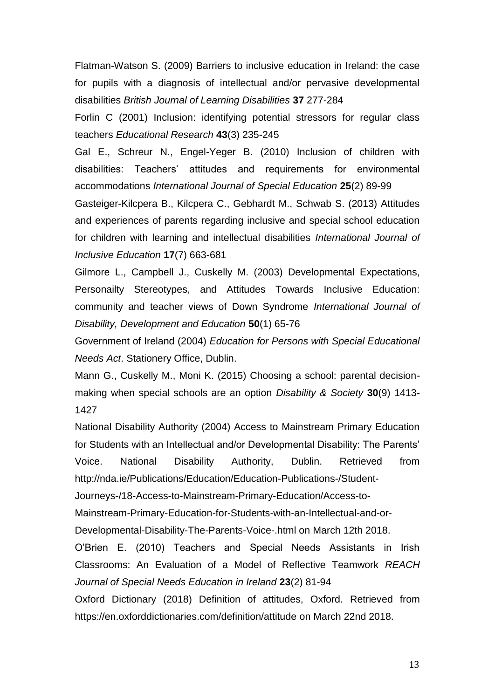Flatman-Watson S. (2009) Barriers to inclusive education in Ireland: the case for pupils with a diagnosis of intellectual and/or pervasive developmental disabilities *British Journal of Learning Disabilities* **37** 277-284

Forlin C (2001) Inclusion: identifying potential stressors for regular class teachers *Educational Research* **43**(3) 235-245

Gal E., Schreur N., Engel-Yeger B. (2010) Inclusion of children with disabilities: Teachers' attitudes and requirements for environmental accommodations *International Journal of Special Education* **25**(2) 89-99

Gasteiger-Kilcpera B., Kilcpera C., Gebhardt M., Schwab S. (2013) Attitudes and experiences of parents regarding inclusive and special school education for children with learning and intellectual disabilities *International Journal of Inclusive Education* **17**(7) 663-681

Gilmore L., Campbell J., Cuskelly M. (2003) Developmental Expectations, Personailty Stereotypes, and Attitudes Towards Inclusive Education: community and teacher views of Down Syndrome *International Journal of Disability, Development and Education* **50**(1) 65-76

Government of Ireland (2004) *Education for Persons with Special Educational Needs Act*. Stationery Office, Dublin.

Mann G., Cuskelly M., Moni K. (2015) Choosing a school: parental decisionmaking when special schools are an option *Disability & Society* **30**(9) 1413- 1427

National Disability Authority (2004) Access to Mainstream Primary Education for Students with an Intellectual and/or Developmental Disability: The Parents' Voice. National Disability Authority, Dublin. Retrieved from [http://nda.ie/Publications/Education/Education-Publications-/Student-](http://nda.ie/Publications/Education/Education-Publications-/Student-Journeys-/18-Access-to-Mainstream-Primary-Education/Access-to-Mainstream-Primary-Education-for-Students-with-an-Intellectual-and-or-Developmental-Disability-The-Parents-Voice-.html)

[Journeys-/18-Access-to-Mainstream-Primary-Education/Access-to-](http://nda.ie/Publications/Education/Education-Publications-/Student-Journeys-/18-Access-to-Mainstream-Primary-Education/Access-to-Mainstream-Primary-Education-for-Students-with-an-Intellectual-and-or-Developmental-Disability-The-Parents-Voice-.html)

[Mainstream-Primary-Education-for-Students-with-an-Intellectual-and-or-](http://nda.ie/Publications/Education/Education-Publications-/Student-Journeys-/18-Access-to-Mainstream-Primary-Education/Access-to-Mainstream-Primary-Education-for-Students-with-an-Intellectual-and-or-Developmental-Disability-The-Parents-Voice-.html)

[Developmental-Disability-The-Parents-Voice-.html](http://nda.ie/Publications/Education/Education-Publications-/Student-Journeys-/18-Access-to-Mainstream-Primary-Education/Access-to-Mainstream-Primary-Education-for-Students-with-an-Intellectual-and-or-Developmental-Disability-The-Parents-Voice-.html) on March 12th 2018.

O'Brien E. (2010) Teachers and Special Needs Assistants in Irish Classrooms: An Evaluation of a Model of Reflective Teamwork *REACH Journal of Special Needs Education in Ireland* **23**(2) 81-94

Oxford Dictionary (2018) Definition of attitudes, Oxford. Retrieved from <https://en.oxforddictionaries.com/definition/attitude> on March 22nd 2018.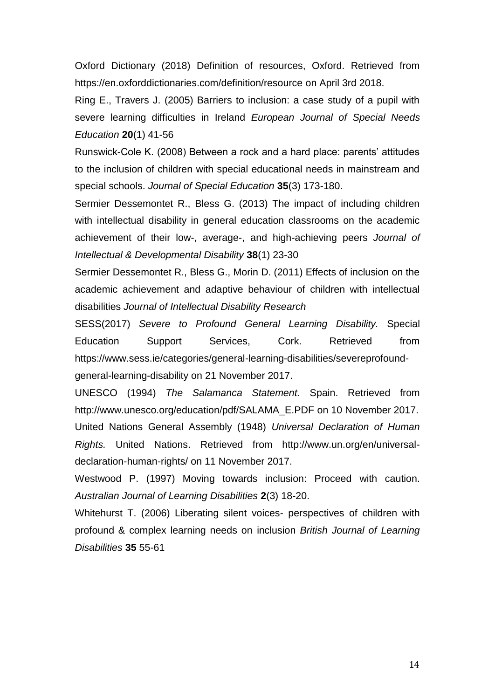Oxford Dictionary (2018) Definition of resources, Oxford. Retrieved from <https://en.oxforddictionaries.com/definition/resource> on April 3rd 2018.

Ring E., Travers J. (2005) Barriers to inclusion: a case study of a pupil with severe learning difficulties in Ireland *European Journal of Special Needs Education* **20**(1) 41-56

Runswick-Cole K. (2008) Between a rock and a hard place: parents' attitudes to the inclusion of children with special educational needs in mainstream and special schools. *Journal of Special Education* **35**(3) 173-180.

Sermier Dessemontet R., Bless G. (2013) The impact of including children with intellectual disability in general education classrooms on the academic achievement of their low-, average-, and high-achieving peers *Journal of Intellectual & Developmental Disability* **38**(1) 23-30

Sermier Dessemontet R., Bless G., Morin D. (2011) Effects of inclusion on the academic achievement and adaptive behaviour of children with intellectual disabilities *Journal of Intellectual Disability Research*

SESS(2017) *Severe to Profound General Learning Disability.* Special Education Support Services, Cork. Retrieved from [https://www.sess.ie/categories/general-learning-disabilities/severeprofound](https://www.sess.ie/categories/general-learning-disabilities/severeprofound-general-learning-disability)[general-learning-disability](https://www.sess.ie/categories/general-learning-disabilities/severeprofound-general-learning-disability) on 21 November 2017.

UNESCO (1994) *The Salamanca Statement.* Spain. Retrieved from [http://www.unesco.org/education/pdf/SALAMA\\_E.PDF](http://www.unesco.org/education/pdf/SALAMA_E.PDF) on 10 November 2017. United Nations General Assembly (1948) *Universal Declaration of Human Rights.* United Nations. Retrieved from http://www.un.org/en/universaldeclaration-human-rights/ on 11 November 2017.

Westwood P. (1997) Moving towards inclusion: Proceed with caution. *Australian Journal of Learning Disabilities* **2**(3) 18-20.

Whitehurst T. (2006) Liberating silent voices- perspectives of children with profound & complex learning needs on inclusion *British Journal of Learning Disabilities* **35** 55-61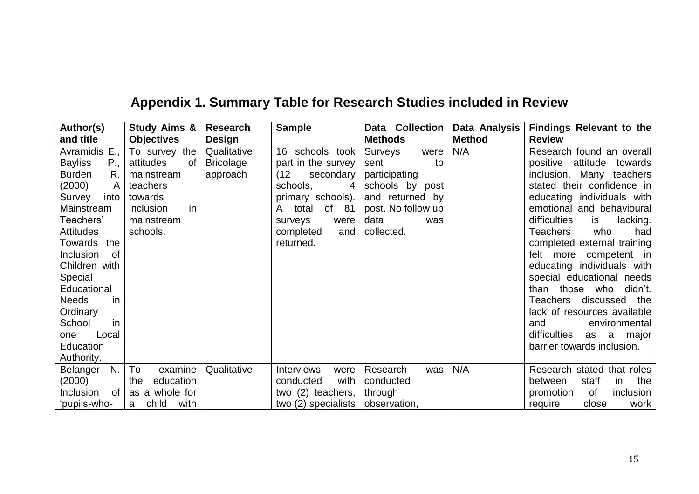| Author(s)              | <b>Study Aims &amp;</b> | <b>Research</b>  | <b>Sample</b>                      | Data<br><b>Collection</b> | Data Analysis | <b>Findings Relevant to the</b>  |
|------------------------|-------------------------|------------------|------------------------------------|---------------------------|---------------|----------------------------------|
| and title              | <b>Objectives</b>       | <b>Design</b>    |                                    | <b>Methods</b>            | <b>Method</b> | <b>Review</b>                    |
| Avramidis E.,          | To survey the           | Qualitative:     | 16 schools took                    | Surveys<br>were           | N/A           | Research found an overall        |
| <b>Bayliss</b><br>P.,  | attitudes<br>0f         | <b>Bricolage</b> | part in the survey                 | sent<br>to                |               | attitude<br>positive<br>towards  |
| <b>Burden</b><br>R.    | mainstream              | approach         | (12)<br>secondary                  | participating             |               | inclusion. Many teachers         |
| (2000)<br>A            | teachers                |                  | schools,<br>4                      | schools by post           |               | stated their confidence in       |
| into<br>Survey         | towards                 |                  | primary schools).                  | and returned by           |               | educating individuals with       |
| Mainstream             | inclusion<br>in.        |                  | of 81<br>total<br>A                | post. No follow up        |               | emotional and behavioural        |
| Teachers'              | mainstream              |                  | surveys<br>were                    | data<br>was               |               | difficulties<br>is<br>lacking.   |
| <b>Attitudes</b>       | schools.                |                  | completed<br>and                   | collected.                |               | who<br>had<br>Teachers           |
| the<br>Towards         |                         |                  | returned.                          |                           |               | completed external training      |
| Inclusion<br><b>of</b> |                         |                  |                                    |                           |               | competent in<br>felt more        |
| Children with          |                         |                  |                                    |                           |               | educating individuals with       |
| Special                |                         |                  |                                    |                           |               | special educational needs        |
| Educational            |                         |                  |                                    |                           |               | than those who<br>didn't.        |
| <b>Needs</b><br>in     |                         |                  |                                    |                           |               | discussed<br>Teachers<br>the     |
| Ordinary               |                         |                  |                                    |                           |               | lack of resources available      |
| School<br>in           |                         |                  |                                    |                           |               | environmental<br>and             |
| Local<br>one           |                         |                  |                                    |                           |               | difficulties<br>as<br>a<br>major |
| Education              |                         |                  |                                    |                           |               | barrier towards inclusion.       |
| Authority.             |                         |                  |                                    |                           |               |                                  |
| N.<br>Belanger         | To<br>examine           | Qualitative      | <b>Interviews</b><br>were          | Research<br>was           | N/A           | Research stated that roles       |
| (2000)                 | education<br>the        |                  | with<br>conducted                  | conducted                 |               | staff<br>the<br>between<br>in.   |
| Inclusion<br>0f        | as a whole for          |                  | two (2) teachers,                  | through                   |               | promotion<br>of<br>inclusion     |
| 'pupils-who-           | with<br>child<br>a      |                  | two (2) specialists   observation, |                           |               | require<br>close<br>work         |

## **Appendix 1. Summary Table for Research Studies included in Review**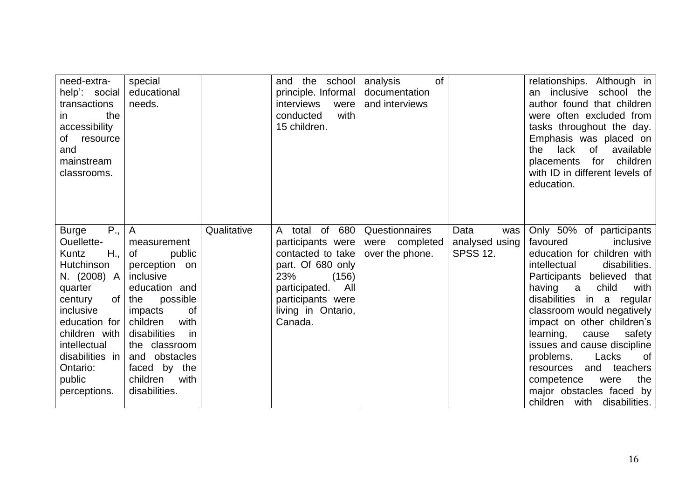| need-extra-<br>help': social<br>transactions<br>the<br>in.<br>accessibility<br>resource<br>οf<br>and<br>mainstream<br>classrooms.                                                                                            | special<br>educational<br>needs.                                                                                                                                                                                                                                     |             | and the school<br>principle. Informal<br>interviews<br>were<br>with<br>conducted<br>15 children.                                                                                                             | <b>of</b><br>analysis<br>documentation<br>and interviews |                                                  | relationships. Although in<br>inclusive<br>school the<br>an<br>author found that children<br>were often excluded from<br>tasks throughout the day.<br>Emphasis was placed on<br>lack<br>of<br>available<br>the<br>children<br>placements for<br>with ID in different levels of<br>education.                                                                                                                                                                                                   |
|------------------------------------------------------------------------------------------------------------------------------------------------------------------------------------------------------------------------------|----------------------------------------------------------------------------------------------------------------------------------------------------------------------------------------------------------------------------------------------------------------------|-------------|--------------------------------------------------------------------------------------------------------------------------------------------------------------------------------------------------------------|----------------------------------------------------------|--------------------------------------------------|------------------------------------------------------------------------------------------------------------------------------------------------------------------------------------------------------------------------------------------------------------------------------------------------------------------------------------------------------------------------------------------------------------------------------------------------------------------------------------------------|
| P.,<br><b>Burge</b><br>Ouellette-<br>H.,<br>Kuntz<br>Hutchinson<br>N. (2008) A<br>quarter<br>century<br>inclusive<br>education for<br>children with<br>intellectual<br>disabilities in<br>Ontario:<br>public<br>perceptions. | $\overline{A}$<br>measurement<br>0f<br>public<br>perception on<br>inclusive<br>education and<br>of the<br>possible<br>οf<br>impacts<br>children<br>with<br>disabilities<br>in<br>the classroom<br>and obstacles<br>faced by the<br>children<br>with<br>disabilities. | Qualitative | $o\overline{f}$<br>680<br>$\mathsf{A}$<br>total<br>participants were<br>contacted to take<br>part. Of 680 only<br>23%<br>(156)<br>participated.<br>All<br>participants were<br>living in Ontario,<br>Canada. | Questionnaires<br>were completed<br>over the phone.      | Data<br>was<br>analysed using<br><b>SPSS 12.</b> | Only 50% of participants<br>favoured<br>inclusive<br>education for children with<br>intellectual<br>disabilities.<br>Participants believed that<br>child<br>having<br>with<br>a<br>disabilities in a<br>regular<br>classroom would negatively<br>impact on other children's<br>learning,<br>cause<br>safety<br>issues and cause discipline<br>problems.<br>Lacks<br>of<br>and<br>teachers<br>resources<br>the<br>competence<br>were<br>major obstacles faced by<br>children with disabilities. |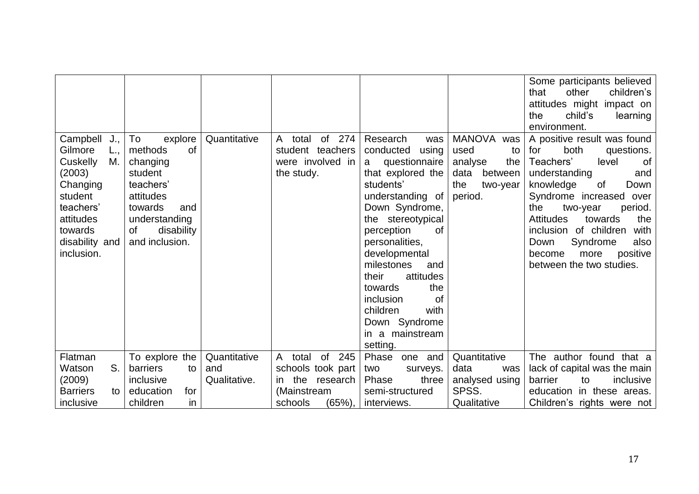|                                                                                                                                                    |                                                                                                                                                                 |                     |                                                                               |                                                                                                                                                                                                                                                                                                                                                                        |                                                                                                       | Some participants believed<br>children's<br>that<br>other<br>attitudes might impact on<br>child's<br>the<br>learning<br>environment.                                                                                                                                                                                                                          |
|----------------------------------------------------------------------------------------------------------------------------------------------------|-----------------------------------------------------------------------------------------------------------------------------------------------------------------|---------------------|-------------------------------------------------------------------------------|------------------------------------------------------------------------------------------------------------------------------------------------------------------------------------------------------------------------------------------------------------------------------------------------------------------------------------------------------------------------|-------------------------------------------------------------------------------------------------------|---------------------------------------------------------------------------------------------------------------------------------------------------------------------------------------------------------------------------------------------------------------------------------------------------------------------------------------------------------------|
| Campbell<br>J.,<br>Gilmore<br>Cuskelly<br>M.<br>(2003)<br>Changing<br>student<br>teachers'<br>attitudes<br>towards<br>disability and<br>inclusion. | To<br>explore<br>methods<br><b>of</b><br>changing<br>student<br>teachers'<br>attitudes<br>towards<br>and<br>understanding<br>οf<br>disability<br>and inclusion. | Quantitative        | of<br>274<br>total<br>A<br>student teachers<br>were involved in<br>the study. | Research<br>was<br>conducted<br>using<br>questionnaire<br>a<br>that explored the<br>students'<br>understanding of<br>Down Syndrome,<br>stereotypical<br>the<br>perception<br>οf<br>personalities,<br>developmental<br>milestones<br>and<br>attitudes<br>their<br>towards<br>the<br>inclusion<br>of<br>children<br>with<br>Down Syndrome<br>in a mainstream<br>setting. | <b>MANOVA</b><br>was<br>used<br>to<br>the<br>analyse<br>between<br>data<br>the<br>two-year<br>period. | A positive result was found<br>both<br>for<br>questions.<br>Teachers'<br>level<br>of<br>understanding<br>and<br>of<br>knowledge<br>Down<br>Syndrome increased over<br>the<br>period.<br>two-year<br><b>Attitudes</b><br>towards<br>the<br>inclusion of children<br>with<br>Syndrome<br>Down<br>also<br>positive<br>become<br>more<br>between the two studies. |
| Flatman                                                                                                                                            | To explore the                                                                                                                                                  | Quantitative        | of<br>245<br>total<br>A                                                       | Phase<br>one and                                                                                                                                                                                                                                                                                                                                                       | Quantitative                                                                                          | The author found that a                                                                                                                                                                                                                                                                                                                                       |
| S.<br>Watson<br>(2009)                                                                                                                             | barriers<br>to<br>inclusive                                                                                                                                     | and<br>Qualitative. | schools took part<br>the<br>research<br>in                                    | two<br>surveys.<br>Phase<br>three                                                                                                                                                                                                                                                                                                                                      | data<br>was<br>analysed using                                                                         | lack of capital was the main<br>barrier<br>inclusive<br>to                                                                                                                                                                                                                                                                                                    |
| <b>Barriers</b><br>to                                                                                                                              | education<br>for                                                                                                                                                |                     | (Mainstream                                                                   | semi-structured                                                                                                                                                                                                                                                                                                                                                        | SPSS.                                                                                                 | education in these areas.                                                                                                                                                                                                                                                                                                                                     |
| inclusive                                                                                                                                          | children<br>in                                                                                                                                                  |                     | (65%), l<br>schools                                                           | interviews.                                                                                                                                                                                                                                                                                                                                                            | Qualitative                                                                                           | Children's rights were not                                                                                                                                                                                                                                                                                                                                    |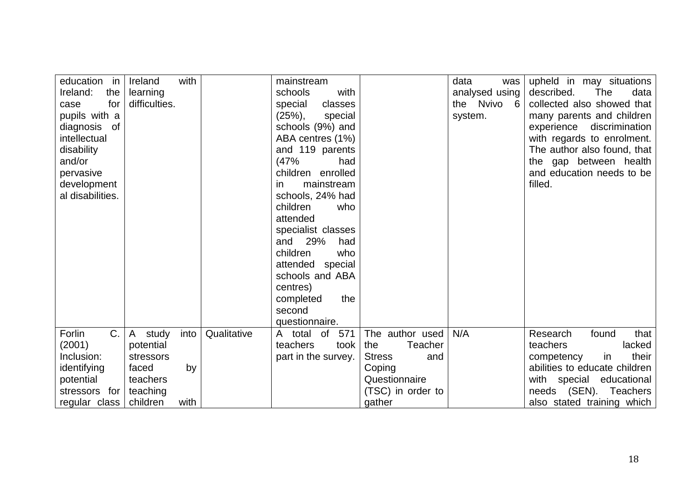| education in<br>Ireland:<br>the<br>for<br>case<br>pupils with a<br>diagnosis of<br>intellectual<br>disability<br>and/or<br>pervasive<br>development<br>al disabilities. | with<br>Ireland<br>learning<br>difficulties. |             | mainstream<br>schools<br>with<br>special<br>classes<br>$(25%)$ ,<br>special<br>schools (9%) and<br>ABA centres (1%)<br>and 119 parents<br>(47%<br>had<br>children enrolled<br>mainstream<br>in.<br>schools, 24% had<br>children<br>who<br>attended<br>specialist classes<br>and 29%<br>had<br>who<br>children<br>attended special<br>schools and ABA<br>centres) |                                               | data<br>was<br>analysed using<br>the Nvivo 6<br>system. | upheld in may situations<br>described.<br>The<br>data<br>collected also showed that<br>many parents and children<br>experience discrimination<br>with regards to enrolment.<br>The author also found, that<br>the gap between health<br>and education needs to be<br>filled. |
|-------------------------------------------------------------------------------------------------------------------------------------------------------------------------|----------------------------------------------|-------------|------------------------------------------------------------------------------------------------------------------------------------------------------------------------------------------------------------------------------------------------------------------------------------------------------------------------------------------------------------------|-----------------------------------------------|---------------------------------------------------------|------------------------------------------------------------------------------------------------------------------------------------------------------------------------------------------------------------------------------------------------------------------------------|
|                                                                                                                                                                         |                                              |             | the<br>completed<br>second<br>questionnaire.                                                                                                                                                                                                                                                                                                                     |                                               |                                                         |                                                                                                                                                                                                                                                                              |
| C.<br>Forlin                                                                                                                                                            | study<br>into<br>$\mathsf{A}$                | Qualitative | 571<br>total<br>of<br>A                                                                                                                                                                                                                                                                                                                                          | The author used                               | N/A                                                     | that<br>Research<br>found                                                                                                                                                                                                                                                    |
| (2001)<br>Inclusion:                                                                                                                                                    | potential<br>stressors                       |             | teachers<br>took<br>part in the survey.                                                                                                                                                                                                                                                                                                                          | <b>Teacher</b><br>the<br><b>Stress</b><br>and |                                                         | lacked<br>teachers<br>their<br>in<br>competency                                                                                                                                                                                                                              |
| identifying                                                                                                                                                             | faced<br>by                                  |             |                                                                                                                                                                                                                                                                                                                                                                  | Coping                                        |                                                         | abilities to educate children                                                                                                                                                                                                                                                |
| potential                                                                                                                                                               | teachers                                     |             |                                                                                                                                                                                                                                                                                                                                                                  | Questionnaire                                 |                                                         | with special educational                                                                                                                                                                                                                                                     |
| stressors for                                                                                                                                                           | teaching                                     |             |                                                                                                                                                                                                                                                                                                                                                                  | (TSC) in order to                             |                                                         | needs (SEN). Teachers                                                                                                                                                                                                                                                        |
| regular class                                                                                                                                                           | children<br>with                             |             |                                                                                                                                                                                                                                                                                                                                                                  | gather                                        |                                                         | also stated training which                                                                                                                                                                                                                                                   |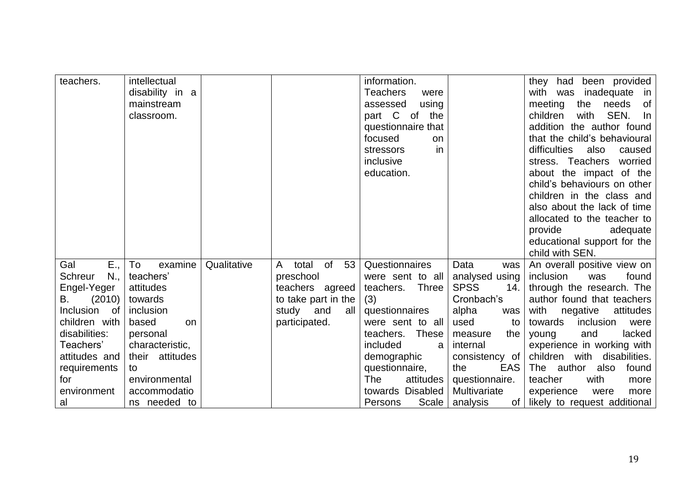| been provided<br><b>Teachers</b><br>with                                                                                                          |
|---------------------------------------------------------------------------------------------------------------------------------------------------|
| disability in a<br>inadequate<br>was<br>were                                                                                                      |
| meeting<br>the<br>needs<br>mainstream<br>using<br>assessed                                                                                        |
| SEN.<br>part C of<br>children<br>classroom.<br>the<br>with                                                                                        |
| addition the author found<br>questionnaire that                                                                                                   |
| that the child's behavioural<br>focused<br>on                                                                                                     |
| difficulties<br>in<br>also<br>stressors<br>caused                                                                                                 |
| inclusive<br>stress. Teachers<br>worried                                                                                                          |
| about the impact of the<br>education.                                                                                                             |
| child's behaviours on other                                                                                                                       |
| children in the class and                                                                                                                         |
| also about the lack of time                                                                                                                       |
| allocated to the teacher to                                                                                                                       |
| provide<br>adequate                                                                                                                               |
| educational support for the                                                                                                                       |
| child with SEN.                                                                                                                                   |
| E.,<br>examine<br>of<br>53<br>Gal<br>To<br>Qualitative<br>Questionnaires<br>Data<br>total<br>An overall positive view on<br>A<br>was              |
| <b>Schreur</b><br>$N_{\cdot}$<br>teachers'<br>preschool<br>analysed using<br>inclusion<br>found<br>were sent to all<br>was                        |
| Engel-Yeger<br><b>SPSS</b><br>through the research. The<br>teachers.<br><b>Three</b><br>14.<br>attitudes<br>teachers<br>agreed                    |
| (2010)<br>(3)<br>Cronbach's<br>author found that teachers<br>towards<br>to take part in the<br>В.                                                 |
| Inclusion<br>questionnaires<br>with<br>of<br>inclusion<br>study<br>and<br>all<br>alpha<br>negative<br>attitudes<br>was                            |
| children with<br>based<br>participated.<br>were sent to all<br>inclusion<br>used<br>towards<br>to<br>on                                           |
| disabilities:<br>lacked<br><b>These</b><br>teachers.<br>and<br>personal<br>the<br>young<br>measure<br>included                                    |
| Teachers'<br>experience in working with<br>characteristic,<br>internal<br>a<br>children with<br>attitudes and<br>their attitudes<br>disabilities. |
| demographic<br>consistency of<br><b>EAS</b><br>The author<br>the                                                                                  |
| questionnaire,<br>requirements<br>also<br>found<br>to<br>environmental<br>The<br>questionnaire.<br>teacher<br>attitudes<br>with<br>for<br>more    |
| accommodatio<br>towards Disabled<br>Multivariate<br>environment<br>experience<br>were<br>more                                                     |
| Scale  <br>ns needed to<br>Persons<br>likely to request additional<br>analysis<br>of l<br>al                                                      |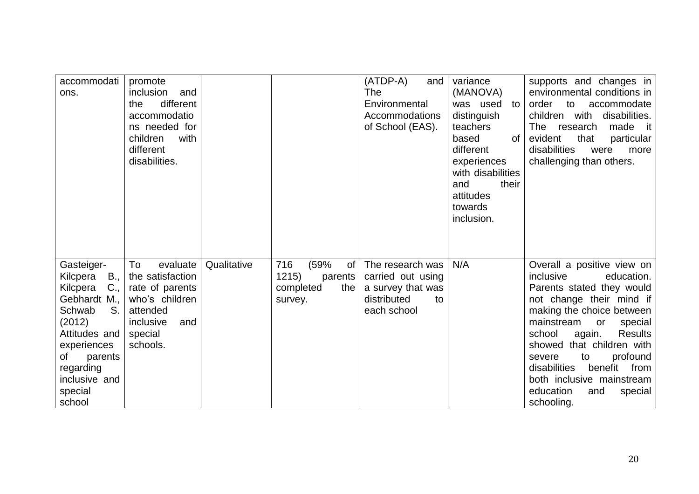| accommodati<br>ons.                                                                                                                                                                             | promote<br>inclusion<br>and<br>different<br>the<br>accommodatio<br>ns needed for<br>children<br>with<br>different<br>disabilities.       |             |                                                                      | (ATDP-A)<br>and  <br>The<br>Environmental<br>Accommodations<br>of School (EAS).                | variance<br>(MANOVA)<br>was used<br>to<br>distinguish<br>teachers<br>based<br>0f<br>different<br>experiences<br>with disabilities<br>their<br>and<br>attitudes<br>towards<br>inclusion. | supports and changes in<br>environmental conditions in<br>order<br>to accommodate<br>children with<br>disabilities.<br>made it<br>The<br>research<br>evident<br>that<br>particular<br>disabilities<br>were<br>more<br>challenging than others.                                                                                                                                         |
|-------------------------------------------------------------------------------------------------------------------------------------------------------------------------------------------------|------------------------------------------------------------------------------------------------------------------------------------------|-------------|----------------------------------------------------------------------|------------------------------------------------------------------------------------------------|-----------------------------------------------------------------------------------------------------------------------------------------------------------------------------------------|----------------------------------------------------------------------------------------------------------------------------------------------------------------------------------------------------------------------------------------------------------------------------------------------------------------------------------------------------------------------------------------|
| Gasteiger-<br>Kilcpera<br>$C_{\cdot}$<br>Kilcpera<br>Gebhardt M.,<br>S.<br>Schwab<br>(2012)<br>Attitudes and<br>experiences<br>of<br>parents<br>regarding<br>inclusive and<br>special<br>school | To<br>evaluate<br>$B_{1}$ , the satisfaction<br>rate of parents<br>who's children<br>attended<br>inclusive<br>and<br>special<br>schools. | Qualitative | 716<br>(59%<br>of<br>1215)<br>parents<br>completed<br>the<br>survey. | The research was<br>carried out using<br>a survey that was<br>distributed<br>to<br>each school | N/A                                                                                                                                                                                     | Overall a positive view on<br>inclusive<br>education.<br>Parents stated they would<br>not change their mind if<br>making the choice between<br>mainstream<br>special<br>or<br><b>Results</b><br>school<br>again.<br>showed that children with<br>profound<br>to<br>severe<br>disabilities<br>benefit<br>from<br>both inclusive mainstream<br>education<br>and<br>special<br>schooling. |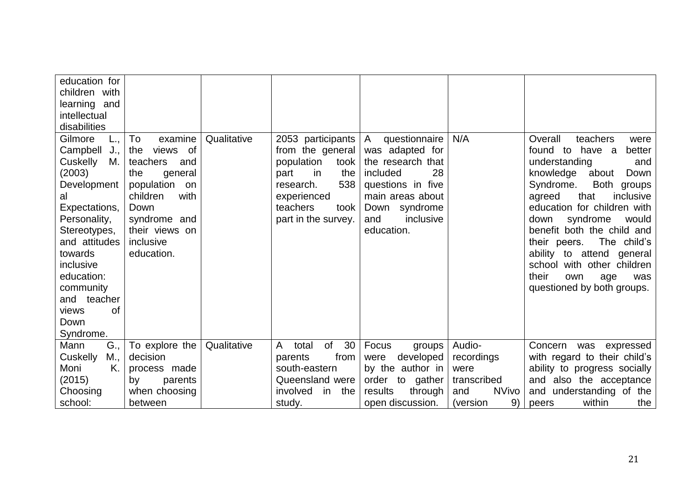| education for<br>children with<br>learning and<br>intellectual<br>disabilities                                                                                                                                                                             |                                                                                                                                                                                    |             |                                                                                                                                                                       |                                                                                                                                                                          |                     |                                                                                                                                                                                                                                                                                                                                                                                                                              |
|------------------------------------------------------------------------------------------------------------------------------------------------------------------------------------------------------------------------------------------------------------|------------------------------------------------------------------------------------------------------------------------------------------------------------------------------------|-------------|-----------------------------------------------------------------------------------------------------------------------------------------------------------------------|--------------------------------------------------------------------------------------------------------------------------------------------------------------------------|---------------------|------------------------------------------------------------------------------------------------------------------------------------------------------------------------------------------------------------------------------------------------------------------------------------------------------------------------------------------------------------------------------------------------------------------------------|
| Gilmore<br>Campbell<br>J.,<br>Cuskelly<br>М.<br>(2003)<br>Development<br>al<br>Expectations,<br>Personality,<br>Stereotypes,<br>and attitudes<br>towards<br>inclusive<br>education:<br>community<br>and teacher<br><b>of</b><br>views<br>Down<br>Syndrome. | To<br>examine<br>of<br>views<br>the<br>teachers<br>and<br>the<br>general<br>population on<br>children<br>with<br>Down<br>syndrome and<br>their views on<br>inclusive<br>education. | Qualitative | 2053 participants<br>from the general<br>population<br>took<br>the<br>part<br><i>in</i><br>538<br>research.<br>experienced<br>teachers<br>took<br>part in the survey. | questionnaire<br>A<br>was adapted for<br>the research that<br>28<br>included<br>questions in five<br>main areas about<br>Down syndrome<br>inclusive<br>and<br>education. | N/A                 | Overall<br>teachers<br>were<br>found to<br>have a<br>better<br>understanding<br>and<br>knowledge<br>Down<br>about<br>Syndrome.<br>Both groups<br>that<br>agreed<br>inclusive<br>education for children with<br>syndrome<br>down<br>would<br>benefit both the child and<br>The child's<br>their peers.<br>ability to attend general<br>school with other children<br>their<br>own<br>age<br>was<br>questioned by both groups. |
| G.,<br>Mann                                                                                                                                                                                                                                                | To explore the                                                                                                                                                                     | Qualitative | of<br>30<br>$\mathsf{A}$<br>total                                                                                                                                     | Focus<br>groups                                                                                                                                                          | Audio-              | Concern<br>was<br>expressed                                                                                                                                                                                                                                                                                                                                                                                                  |
| <b>Cuskelly</b><br>M.,                                                                                                                                                                                                                                     | decision                                                                                                                                                                           |             | from<br>parents                                                                                                                                                       | developed<br>were                                                                                                                                                        | recordings          | with regard to their child's                                                                                                                                                                                                                                                                                                                                                                                                 |
| Moni<br>K.<br>(2015)                                                                                                                                                                                                                                       | process made<br>by<br>parents                                                                                                                                                      |             | south-eastern<br>Queensland were                                                                                                                                      | by the author in<br>order to gather                                                                                                                                      | were<br>transcribed | ability to progress socially<br>and also the acceptance                                                                                                                                                                                                                                                                                                                                                                      |
| Choosing                                                                                                                                                                                                                                                   | when choosing                                                                                                                                                                      |             | involved<br>in the                                                                                                                                                    | results<br>through                                                                                                                                                       | <b>NVivo</b><br>and | and understanding of the                                                                                                                                                                                                                                                                                                                                                                                                     |
| school:                                                                                                                                                                                                                                                    | between                                                                                                                                                                            |             | study.                                                                                                                                                                | open discussion.                                                                                                                                                         | 9)<br>(version      | within<br>the<br>peers                                                                                                                                                                                                                                                                                                                                                                                                       |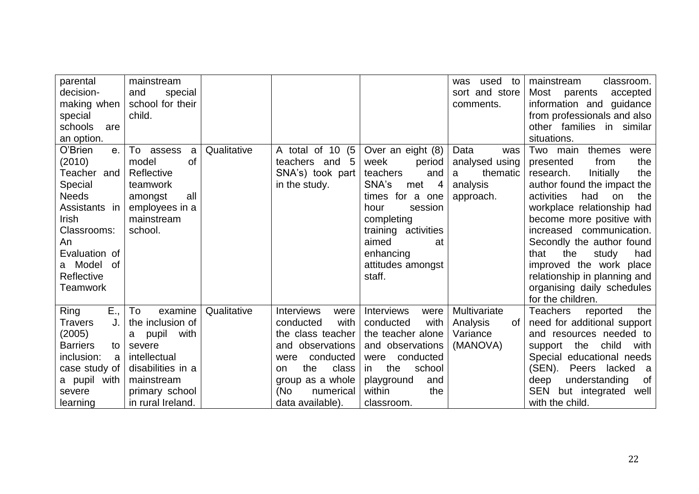| parental              | mainstream         |             |                               |                           | used<br>to<br>was | mainstream<br>classroom.           |
|-----------------------|--------------------|-------------|-------------------------------|---------------------------|-------------------|------------------------------------|
| decision-             | and<br>special     |             |                               |                           | sort and store    | Most<br>accepted<br>parents        |
| making when           | school for their   |             |                               |                           | comments.         | information and<br>guidance        |
| special               | child.             |             |                               |                           |                   | from professionals and also        |
| schools<br>are        |                    |             |                               |                           |                   | other families in similar          |
| an option.            |                    |             |                               |                           |                   | situations.                        |
| O'Brien<br>$e_{.}$    | To<br>assess<br>a  | Qualitative | A total of 10 (5              | Over an eight (8)         | Data<br>was       | Two<br>themes<br>main<br>were      |
| (2010)                | of<br>model        |             | teachers and 5                | week<br>period            | analysed using    | from<br>presented<br>the           |
| Teacher and           | Reflective         |             | SNA's) took part              | teachers<br>and           | thematic<br>a     | Initially<br>the<br>research.      |
| Special               | teamwork           |             | in the study.                 | SNA's<br>met<br>-4        | analysis          | author found the impact the        |
| <b>Needs</b>          | all<br>amongst     |             |                               | times for a one           | approach.         | activities<br>had<br>on<br>the     |
| Assistants in         | employees in a     |             |                               | session<br>hour           |                   | workplace relationship had         |
| <b>Irish</b>          | mainstream         |             |                               | completing                |                   | become more positive with          |
| Classrooms:           | school.            |             |                               | training activities       |                   | increased communication.           |
| An                    |                    |             |                               | aimed<br>at               |                   | Secondly the author found          |
| Evaluation of         |                    |             |                               | enhancing                 |                   | the<br>that<br>study<br>had        |
| a Model<br>of         |                    |             |                               | attitudes amongst         |                   | improved the work place            |
| Reflective            |                    |             |                               | staff.                    |                   | relationship in planning and       |
| <b>Teamwork</b>       |                    |             |                               |                           |                   | organising daily schedules         |
|                       |                    |             |                               |                           |                   | for the children.                  |
| E.,<br>Ring           | examine<br>To      | Qualitative | <b>Interviews</b><br>were     | <b>Interviews</b><br>were | Multivariate      | <b>Teachers</b><br>the<br>reported |
| <b>Travers</b>        | the inclusion of   |             | with<br>conducted             | conducted<br>with         | Analysis<br>0f    | need for additional support        |
| (2005)                | pupil<br>with<br>a |             | the class teacher             | the teacher alone         | Variance          | and resources needed to            |
| <b>Barriers</b><br>to | severe             |             | observations<br>and           | and observations          | (MANOVA)          | support the<br>child<br>with       |
| inclusion:<br>a       | intellectual       |             | conducted<br>were             | conducted<br>were         |                   | Special educational needs          |
| case study of         | disabilities in a  |             | the<br>class<br><sub>on</sub> | the<br>school<br>in       |                   | (SEN).<br>Peers lacked<br>- a      |
| a pupil with          | mainstream         |             | group as a whole              | playground<br>and         |                   | 0f<br>understanding<br>deep        |
| severe                | primary school     |             | (No<br>numerical              | the<br>within             |                   | SEN but integrated<br>well         |
| learning              | in rural Ireland.  |             | data available).              | classroom.                |                   | with the child.                    |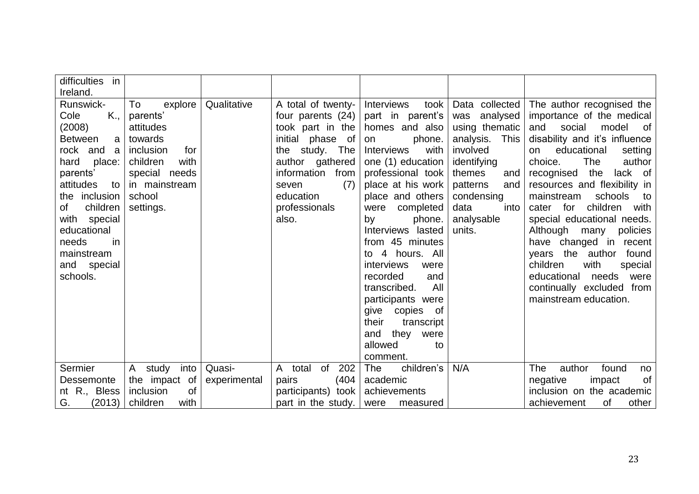| difficulties<br>in                                                                                                                                                                                                                                         |                                                                                                                                                    |              |                                                                                                                                                                                                    |                                                                                                                                                                                                                                                                                                                                                                                                                                                                              |                                                                                                                                                                                            |                                                                                                                                                                                                                                                                                                                                                                                                                                                                                                                                                         |
|------------------------------------------------------------------------------------------------------------------------------------------------------------------------------------------------------------------------------------------------------------|----------------------------------------------------------------------------------------------------------------------------------------------------|--------------|----------------------------------------------------------------------------------------------------------------------------------------------------------------------------------------------------|------------------------------------------------------------------------------------------------------------------------------------------------------------------------------------------------------------------------------------------------------------------------------------------------------------------------------------------------------------------------------------------------------------------------------------------------------------------------------|--------------------------------------------------------------------------------------------------------------------------------------------------------------------------------------------|---------------------------------------------------------------------------------------------------------------------------------------------------------------------------------------------------------------------------------------------------------------------------------------------------------------------------------------------------------------------------------------------------------------------------------------------------------------------------------------------------------------------------------------------------------|
| Ireland.                                                                                                                                                                                                                                                   |                                                                                                                                                    |              |                                                                                                                                                                                                    |                                                                                                                                                                                                                                                                                                                                                                                                                                                                              |                                                                                                                                                                                            |                                                                                                                                                                                                                                                                                                                                                                                                                                                                                                                                                         |
| Runswick-<br>Cole<br>K.,<br>(2008)<br><b>Between</b><br>a<br>rock and<br>- a<br>hard<br>place:<br>parents'<br>attitudes<br>to<br>the inclusion<br>children<br>of<br>with<br>special<br>educational<br>in<br>needs<br>mainstream<br>and special<br>schools. | To<br>explore<br>parents'<br>attitudes<br>towards<br>inclusion<br>for<br>children<br>with<br>special needs<br>in mainstream<br>school<br>settings. | Qualitative  | A total of twenty-<br>four parents (24)<br>took part in the<br>initial phase of<br>the study. The<br>author gathered<br>information<br>from<br>(7)<br>seven<br>education<br>professionals<br>also. | <b>Interviews</b><br>took<br>part in parent's<br>homes and also<br>phone.<br>on<br><b>Interviews</b><br>with<br>one (1) education<br>professional took<br>place at his work<br>place and others<br>were completed<br>by<br>phone.<br>Interviews lasted<br>from 45 minutes<br>4 hours. All<br>to<br><i>interviews</i><br>were<br>recorded<br>and<br>All<br>transcribed.<br>participants were<br>give copies of<br>their<br>transcript<br>and<br>they<br>were<br>allowed<br>to | Data collected<br>was analysed<br>using thematic<br>analysis.<br>This<br>involved<br>identifying<br>themes<br>and<br>patterns<br>and<br>condensing<br>data<br>into<br>analysable<br>units. | The author recognised the<br>importance of the medical<br>and<br>social<br>model<br>of.<br>disability and it's influence<br>educational<br>setting<br>on<br>choice.<br>The<br>author<br>the<br>lack of<br>recognised<br>resources and flexibility in<br>mainstream<br>schools<br>— to<br>children with<br>cater for<br>special educational needs.<br>Although many<br>policies<br>have changed in recent<br>years the author<br>found<br>children<br>with<br>special<br>educational<br>needs were<br>continually excluded from<br>mainstream education. |
|                                                                                                                                                                                                                                                            |                                                                                                                                                    |              |                                                                                                                                                                                                    | comment.                                                                                                                                                                                                                                                                                                                                                                                                                                                                     |                                                                                                                                                                                            |                                                                                                                                                                                                                                                                                                                                                                                                                                                                                                                                                         |
| Sermier                                                                                                                                                                                                                                                    | study into<br>$\mathsf{A}$                                                                                                                         | Quasi-       | of<br>202<br>$\mathsf{A}$<br>total                                                                                                                                                                 | The<br>children's                                                                                                                                                                                                                                                                                                                                                                                                                                                            | N/A                                                                                                                                                                                        | The<br>found<br>author<br>no                                                                                                                                                                                                                                                                                                                                                                                                                                                                                                                            |
| Dessemonte                                                                                                                                                                                                                                                 | the impact of                                                                                                                                      | experimental | (404)<br>pairs                                                                                                                                                                                     | academic                                                                                                                                                                                                                                                                                                                                                                                                                                                                     |                                                                                                                                                                                            | negative<br>impact<br>οf                                                                                                                                                                                                                                                                                                                                                                                                                                                                                                                                |
| nt R., Bless                                                                                                                                                                                                                                               | <b>of</b><br>inclusion                                                                                                                             |              | participants) took                                                                                                                                                                                 | achievements                                                                                                                                                                                                                                                                                                                                                                                                                                                                 |                                                                                                                                                                                            | inclusion on the academic                                                                                                                                                                                                                                                                                                                                                                                                                                                                                                                               |
| G.<br>(2013)                                                                                                                                                                                                                                               | children<br>with                                                                                                                                   |              | part in the study.                                                                                                                                                                                 | were<br>measured                                                                                                                                                                                                                                                                                                                                                                                                                                                             |                                                                                                                                                                                            | achievement<br>other<br>οf                                                                                                                                                                                                                                                                                                                                                                                                                                                                                                                              |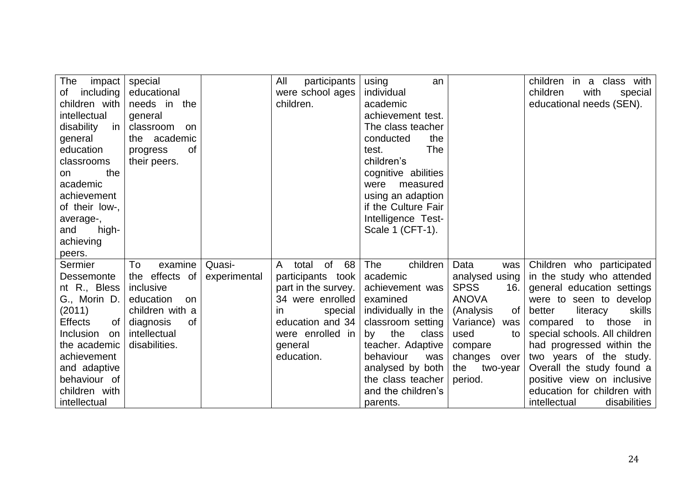| The<br>impact        | special         |              | All<br>participants    | using<br>an         |                    | children in a class with      |
|----------------------|-----------------|--------------|------------------------|---------------------|--------------------|-------------------------------|
| including<br>of      | educational     |              | were school ages       | individual          |                    | children<br>with<br>special   |
| children with        | needs in the    |              | children.              | academic            |                    | educational needs (SEN).      |
| intellectual         | general         |              |                        | achievement test.   |                    |                               |
| disability<br>in     | classroom on    |              |                        | The class teacher   |                    |                               |
| general              | the academic    |              |                        | conducted<br>the    |                    |                               |
| education            | 0f<br>progress  |              |                        | <b>The</b><br>test. |                    |                               |
| classrooms           | their peers.    |              |                        | children's          |                    |                               |
| the<br>on            |                 |              |                        | cognitive abilities |                    |                               |
| academic             |                 |              |                        | measured<br>were    |                    |                               |
| achievement          |                 |              |                        | using an adaption   |                    |                               |
| of their low-,       |                 |              |                        | if the Culture Fair |                    |                               |
| average-,            |                 |              |                        | Intelligence Test-  |                    |                               |
| high-<br>and         |                 |              |                        | Scale 1 (CFT-1).    |                    |                               |
| achieving            |                 |              |                        |                     |                    |                               |
| peers.               |                 |              |                        |                     |                    |                               |
| Sermier              | To<br>examine   | Quasi-       | of<br>68<br>A<br>total | The<br>children     | Data<br>was        | Children who participated     |
| Dessemonte           | the effects of  | experimental | participants took      | academic            | analysed using     | in the study who attended     |
| nt R., Bless         | inclusive       |              | part in the survey.    | achievement was     | <b>SPSS</b><br>16. | general education settings    |
| G., Morin D.         | education<br>on |              | 34 were enrolled       | examined            | <b>ANOVA</b>       | were to seen to develop       |
| (2011)               | children with a |              | special<br><i>in</i>   | individually in the | (Analysis<br>0f    | better<br>skills<br>literacy  |
| <b>Effects</b><br>0f | diagnosis<br>0f |              | education and 34       | classroom setting   | Variance)<br>was   | compared to those in          |
| Inclusion<br>on      | intellectual    |              | were enrolled in       | the<br>class<br>by  | used<br>to         | special schools. All children |
| the academic         | disabilities.   |              | general                | teacher. Adaptive   | compare            | had progressed within the     |
| achievement          |                 |              | education.             | behaviour<br>was    | changes<br>over    | two years of the study.       |
| and adaptive         |                 |              |                        | analysed by both    | two-year<br>the    | Overall the study found a     |
| behaviour of         |                 |              |                        | the class teacher   | period.            | positive view on inclusive    |
| children with        |                 |              |                        | and the children's  |                    | education for children with   |
| intellectual         |                 |              |                        | parents.            |                    | disabilities<br>intellectual  |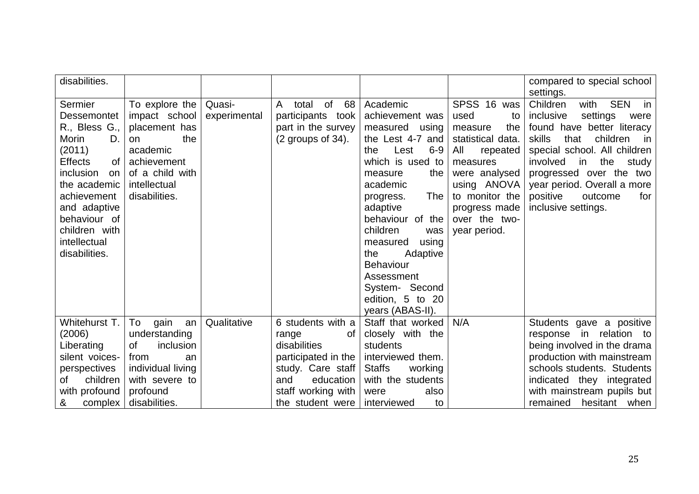| disabilities.        |                      |              |                                   |                          |                   | compared to special school<br>settings. |
|----------------------|----------------------|--------------|-----------------------------------|--------------------------|-------------------|-----------------------------------------|
|                      |                      |              |                                   |                          |                   |                                         |
| Sermier              | To explore the       | Quasi-       | of<br>68<br>$\mathsf{A}$<br>total | Academic                 | SPSS 16 was       | Children<br><b>SEN</b><br>with<br>in    |
| <b>Dessemontet</b>   | impact school        | experimental | participants took                 | achievement was          | used<br>to        | inclusive<br>settings<br>were           |
| R., Bless G.,        | placement has        |              | part in the survey                | measured<br>using        | the<br>measure    | found have better literacy              |
| Morin<br>D.          | the<br><sub>on</sub> |              | $(2$ groups of 34).               | the Lest 4-7 and         | statistical data. | skills<br>that<br>children<br>- in      |
| (2011)               | academic             |              |                                   | $6-9$<br>Lest<br>the     | All<br>repeated   | special school. All children            |
| 0f<br><b>Effects</b> | achievement          |              |                                   | which is used to         | measures          | involved<br>the<br>in<br>study          |
| inclusion<br>on      | of a child with      |              |                                   | measure<br>the           | were analysed     | progressed over the two                 |
| the academic         | intellectual         |              |                                   | academic                 | using ANOVA       | year period. Overall a more             |
| achievement          | disabilities.        |              |                                   | The<br>progress.         | to monitor the    | positive<br>outcome<br>for              |
| and adaptive         |                      |              |                                   | adaptive                 | progress made     | inclusive settings.                     |
| behaviour of         |                      |              |                                   | behaviour of the         | over the two-     |                                         |
| children with        |                      |              |                                   | children<br>was          | year period.      |                                         |
| intellectual         |                      |              |                                   | measured<br>using        |                   |                                         |
| disabilities.        |                      |              |                                   | the<br>Adaptive          |                   |                                         |
|                      |                      |              |                                   | <b>Behaviour</b>         |                   |                                         |
|                      |                      |              |                                   | Assessment               |                   |                                         |
|                      |                      |              |                                   | System- Second           |                   |                                         |
|                      |                      |              |                                   | edition, 5 to 20         |                   |                                         |
|                      |                      |              |                                   | years (ABAS-II).         |                   |                                         |
| Whitehurst T.        | To<br>gain<br>an     | Qualitative  | 6 students with a                 | Staff that worked        | N/A               | Students gave a positive                |
| (2006)               | understanding        |              | range<br>0f                       | closely with the         |                   | in relation to<br>response              |
| Liberating           | 0f<br>inclusion      |              | disabilities                      | students                 |                   | being involved in the drama             |
| silent voices-       | from<br>an           |              | participated in the               | interviewed them.        |                   | production with mainstream              |
| perspectives         | individual living    |              | study. Care staff                 | <b>Staffs</b><br>working |                   | schools students. Students              |
| children<br>οf       | with severe to       |              | education<br>and                  | with the students        |                   | indicated they integrated               |
| with profound        | profound             |              | staff working with                | also<br>were             |                   | with mainstream pupils but              |
| &<br>complex         | disabilities.        |              | the student were                  | interviewed<br>to        |                   | remained<br>hesitant when               |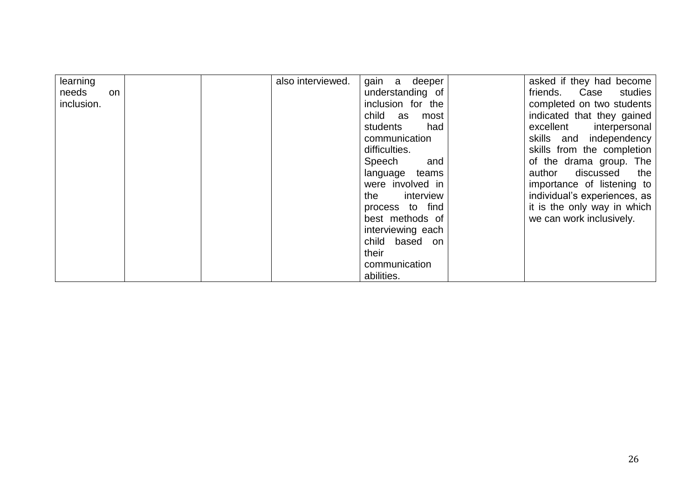| learning           |  | also interviewed. | gain a<br>deeper  | asked if they had become     |
|--------------------|--|-------------------|-------------------|------------------------------|
| needs<br><b>on</b> |  |                   | understanding of  | friends. Case<br>studies     |
| inclusion.         |  |                   | inclusion for the | completed on two students    |
|                    |  |                   | child as<br>most  | indicated that they gained   |
|                    |  |                   | students<br>had   | excellent<br>interpersonal   |
|                    |  |                   | communication     | skills and independency      |
|                    |  |                   | difficulties.     | skills from the completion   |
|                    |  |                   | Speech<br>and     | of the drama group. The      |
|                    |  |                   | language teams    | author<br>discussed<br>the   |
|                    |  |                   | were involved in  | importance of listening to   |
|                    |  |                   | interview<br>the  | individual's experiences, as |
|                    |  |                   | process to find   | it is the only way in which  |
|                    |  |                   | best methods of   | we can work inclusively.     |
|                    |  |                   | interviewing each |                              |
|                    |  |                   | child based on    |                              |
|                    |  |                   | their             |                              |
|                    |  |                   | communication     |                              |
|                    |  |                   | abilities.        |                              |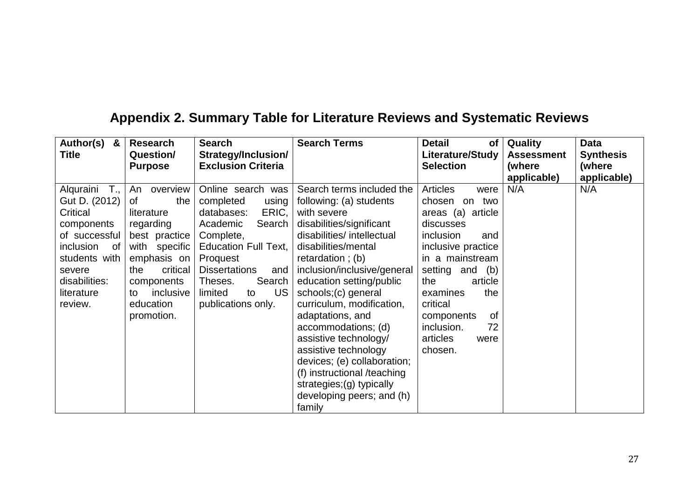# **Appendix 2. Summary Table for Literature Reviews and Systematic Reviews**

| Author(s)<br>&                                                                                                                                                               | <b>Research</b>                                                                                                                                                                            | <b>Search</b>                                                                                                                                                                                                                                 | <b>Search Terms</b>                                                                                                                                                                                                                                                                                                                                                                                                                                                                                                   | <b>Detail</b><br><b>of</b>                                                                                                                                                                                                                                                                     | Quality            | <b>Data</b>        |
|------------------------------------------------------------------------------------------------------------------------------------------------------------------------------|--------------------------------------------------------------------------------------------------------------------------------------------------------------------------------------------|-----------------------------------------------------------------------------------------------------------------------------------------------------------------------------------------------------------------------------------------------|-----------------------------------------------------------------------------------------------------------------------------------------------------------------------------------------------------------------------------------------------------------------------------------------------------------------------------------------------------------------------------------------------------------------------------------------------------------------------------------------------------------------------|------------------------------------------------------------------------------------------------------------------------------------------------------------------------------------------------------------------------------------------------------------------------------------------------|--------------------|--------------------|
| <b>Title</b>                                                                                                                                                                 | Question/                                                                                                                                                                                  | Strategy/Inclusion/                                                                                                                                                                                                                           |                                                                                                                                                                                                                                                                                                                                                                                                                                                                                                                       | Literature/Study                                                                                                                                                                                                                                                                               | <b>Assessment</b>  | <b>Synthesis</b>   |
|                                                                                                                                                                              | <b>Purpose</b>                                                                                                                                                                             | <b>Exclusion Criteria</b>                                                                                                                                                                                                                     |                                                                                                                                                                                                                                                                                                                                                                                                                                                                                                                       | <b>Selection</b>                                                                                                                                                                                                                                                                               | (where             | (where             |
| Alquraini<br>$T_{\cdot}$<br>Gut D. (2012)<br>Critical<br>components<br>of successful<br>inclusion<br>of<br>students with<br>severe<br>disabilities:<br>literature<br>review. | overview<br>An<br>0f<br>the<br>literature<br>regarding<br>best practice<br>with specific<br>emphasis on $ $<br>critical<br>the<br>components<br>inclusive<br>to<br>education<br>promotion. | Online search was<br>completed<br>using<br>ERIC,<br>databases:<br>Search<br>Academic<br>Complete,<br><b>Education Full Text,</b><br>Proquest<br><b>Dissertations</b><br>and<br>Search<br>Theses.<br>US<br>limited<br>to<br>publications only. | Search terms included the<br>following: (a) students<br>with severe<br>disabilities/significant<br>disabilities/intellectual<br>disabilities/mental<br>retardation; $(b)$<br>inclusion/inclusive/general<br>education setting/public<br>schools;(c) general<br>curriculum, modification,<br>adaptations, and<br>accommodations; (d)<br>assistive technology/<br>assistive technology<br>devices; (e) collaboration;<br>(f) instructional /teaching<br>strategies;(g) typically<br>developing peers; and (h)<br>family | <b>Articles</b><br>were<br>two<br>chosen<br>on<br>areas (a)<br>article<br>discusses<br>inclusion<br>and<br>inclusive practice<br>in a mainstream<br>setting and<br>(b)<br>article<br>the<br>the<br>examines<br>critical<br>0f<br>components<br>inclusion.<br>72<br>articles<br>were<br>chosen. | applicable)<br>N/A | applicable)<br>N/A |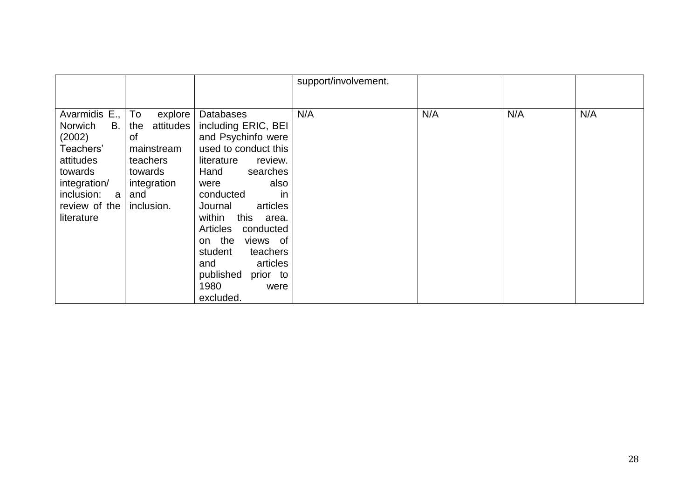|                                                                                                                                                 |                                                                                                                  |                                                                                                                                                                                                                                                                                                                                           | support/involvement. |     |     |     |
|-------------------------------------------------------------------------------------------------------------------------------------------------|------------------------------------------------------------------------------------------------------------------|-------------------------------------------------------------------------------------------------------------------------------------------------------------------------------------------------------------------------------------------------------------------------------------------------------------------------------------------|----------------------|-----|-----|-----|
|                                                                                                                                                 |                                                                                                                  |                                                                                                                                                                                                                                                                                                                                           |                      |     |     |     |
| Avarmidis E.,<br>Norwich<br>В.<br>(2002)<br>Teachers'<br>attitudes<br>towards<br>integration/<br>inclusion:<br>a<br>review of the<br>literature | To<br>explore<br>attitudes<br>the<br>of<br>mainstream<br>teachers<br>towards<br>integration<br>and<br>inclusion. | <b>Databases</b><br>including ERIC, BEI<br>and Psychinfo were<br>used to conduct this<br>literature<br>review.<br>Hand<br>searches<br>also<br>were<br>in<br>conducted<br>articles<br>Journal<br>this<br>within<br>area.<br>Articles<br>conducted<br>on the<br>views of<br>student<br>teachers<br>articles<br>and<br>published<br>prior to | N/A                  | N/A | N/A | N/A |
|                                                                                                                                                 |                                                                                                                  | 1980<br>were<br>excluded.                                                                                                                                                                                                                                                                                                                 |                      |     |     |     |